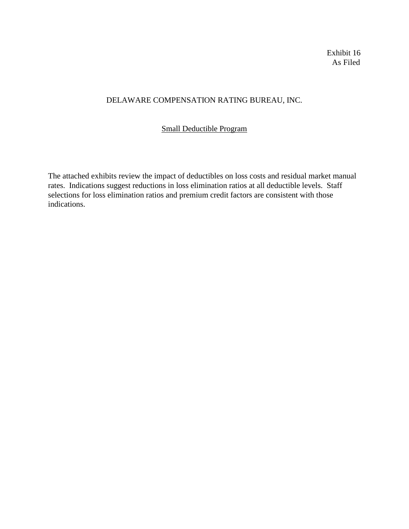Exhibit 16 As Filed

# DELAWARE COMPENSATION RATING BUREAU, INC.

### Small Deductible Program

The attached exhibits review the impact of deductibles on loss costs and residual market manual rates. Indications suggest reductions in loss elimination ratios at all deductible levels. Staff selections for loss elimination ratios and premium credit factors are consistent with those indications.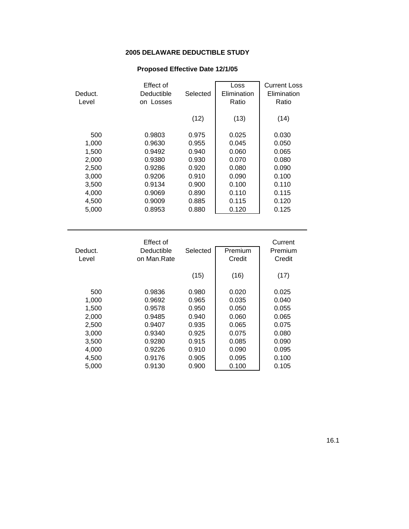### **2005 DELAWARE DEDUCTIBLE STUDY**

## **Proposed Effective Date 12/1/05**

| Deduct. | Effect of<br>Deductible | Selected | Loss<br>Elimination | <b>Current Loss</b><br>Elimination |
|---------|-------------------------|----------|---------------------|------------------------------------|
|         |                         |          |                     |                                    |
| Level   | on Losses               |          | Ratio               | Ratio                              |
|         |                         |          |                     |                                    |
|         |                         | (12)     | (13)                | (14)                               |
|         |                         |          |                     |                                    |
| 500     | 0.9803                  | 0.975    | 0.025               | 0.030                              |
| 1,000   | 0.9630                  | 0.955    | 0.045               | 0.050                              |
| 1,500   | 0.9492                  | 0.940    | 0.060               | 0.065                              |
| 2,000   | 0.9380                  | 0.930    | 0.070               | 0.080                              |
| 2,500   | 0.9286                  | 0.920    | 0.080               | 0.090                              |
| 3,000   | 0.9206                  | 0.910    | 0.090               | 0.100                              |
| 3,500   | 0.9134                  | 0.900    | 0.100               | 0.110                              |
| 4,000   | 0.9069                  | 0.890    | 0.110               | 0.115                              |
| 4,500   | 0.9009                  | 0.885    | 0.115               | 0.120                              |
| 5,000   | 0.8953                  | 0.880    | 0.120               | 0.125                              |
|         |                         |          |                     |                                    |

| Deduct.<br>Level | Effect of<br>Deductible<br>on Man.Rate | Selected | Premium<br>Credit | Current<br>Premium<br>Credit |
|------------------|----------------------------------------|----------|-------------------|------------------------------|
|                  |                                        | (15)     | (16)              | (17)                         |
| 500              | 0.9836                                 | 0.980    | 0.020             | 0.025                        |
| 1.000            | 0.9692                                 | 0.965    | 0.035             | 0.040                        |
| 1,500            | 0.9578                                 | 0.950    | 0.050             | 0.055                        |
| 2,000            | 0.9485                                 | 0.940    | 0.060             | 0.065                        |
| 2,500            | 0.9407                                 | 0.935    | 0.065             | 0.075                        |
| 3,000            | 0.9340                                 | 0.925    | 0.075             | 0.080                        |
| 3.500            | 0.9280                                 | 0.915    | 0.085             | 0.090                        |
| 4,000            | 0.9226                                 | 0.910    | 0.090             | 0.095                        |
| 4,500            | 0.9176                                 | 0.905    | 0.095             | 0.100                        |
| 5.000            | 0.9130                                 | 0.900    | 0.100             | 0.105                        |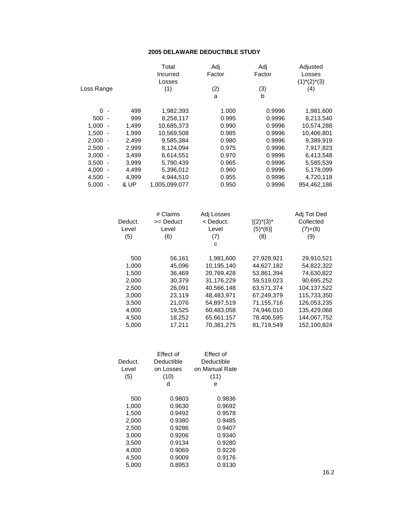#### **2005 DELAWARE DEDUCTIBLE STUDY**

|                                   |         | Total         | Adj        | Adj            | Adjusted        |
|-----------------------------------|---------|---------------|------------|----------------|-----------------|
|                                   |         | Incurred      | Factor     | Factor         | Losses          |
|                                   |         | Losses        |            |                | $(1)^*(2)^*(3)$ |
| Loss Range                        |         | (1)           | (2)        | (3)            | (4)             |
|                                   |         |               | a          | b              |                 |
| $0 -$                             | 499     | 1,982,393     | 1.000      | 0.9996         | 1,981,600       |
| $500 -$                           | 999     | 8,258,117     | 0.995      | 0.9996         | 8,213,540       |
| 1,000<br>$\overline{\phantom{a}}$ | 1,499   | 10,685,373    | 0.990      | 0.9996         | 10,574,288      |
| 1,500<br>$\overline{\phantom{a}}$ | 1,999   | 10,569,508    | 0.985      | 0.9996         | 10,406,801      |
| 2,000<br>$\overline{\phantom{a}}$ | 2,499   | 9,585,384     | 0.980      | 0.9996         | 9,389,919       |
| 2,500<br>$\overline{\phantom{a}}$ | 2,999   | 8,124,094     | 0.975      | 0.9996         | 7,917,823       |
| 3,000<br>$\sim$                   | 3,499   | 6,614,551     | 0.970      | 0.9996         | 6,413,548       |
| 3,500<br>$\overline{\phantom{a}}$ | 3,999   | 5,790,439     | 0.965      | 0.9996         | 5,585,539       |
| 4,000<br>$\sim$                   | 4,499   | 5,396,012     | 0.960      | 0.9996         | 5,178,099       |
| 4,500<br>$\sim$                   | 4,999   | 4,944,510     | 0.955      | 0.9996         | 4,720,118       |
| 5,000<br>$\sim$                   | & UP    | 1,005,099,077 | 0.950      | 0.9996         | 954,462,186     |
|                                   |         |               |            |                |                 |
|                                   |         | # Claims      | Adj Losses |                | Adj Tot Ded     |
|                                   | Deduct. | >= Deduct     | < Deduct.  | $[(2)^*(3)^*]$ | Collected       |
|                                   | Level   | Level         | Level      | $(5)*(6)$      | $(7)+(8)$       |
|                                   | (5)     | (6)           | (7)        | (8)            | (9)             |
|                                   |         |               | C          |                |                 |
|                                   | 500     | 56,161        | 1,981,600  | 27,928,921     | 29,910,521      |
|                                   | 1,000   | 45,096        | 10,195,140 | 44,627,182     | 54,822,322      |
|                                   | 1,500   | 36,469        | 20,769,428 | 53,861,394     | 74,630,822      |
|                                   | 2,000   | 30,379        | 31,176,229 | 59,519,023     | 90,695,252      |
|                                   | 2,500   | 26,091        | 40,566,148 | 63,571,374     | 104, 137, 522   |
|                                   | 3,000   | 23,119        | 48,483,971 | 67,249,379     | 115,733,350     |
|                                   | 3,500   | 21,076        | 54,897,519 | 71,155,716     | 126,053,235     |
|                                   |         |               |            |                |                 |
|                                   | 4,000   | 19,525        | 60,483,058 | 74,946,010     | 135,429,068     |
|                                   | 4,500   | 18,252        | 65,661,157 | 78,406,595     | 144,067,752     |
|                                   | 5,000   | 17,211        | 70,381,275 | 81,719,549     | 152,100,824     |

| Deduct.<br>Level<br>(5) | Effect of<br>Deductible<br>on Losses<br>(10)<br>d | Effect of<br>Deductible<br>on Manual Rate<br>(11)<br>е |
|-------------------------|---------------------------------------------------|--------------------------------------------------------|
| 500                     | 0.9803                                            | 0.9836                                                 |
| 1,000                   | 0.9630                                            | 0.9692                                                 |
| 1,500                   | 0.9492                                            | 0.9578                                                 |
| 2,000                   | 0.9380                                            | 0.9485                                                 |
| 2,500                   | 0.9286                                            | 0.9407                                                 |
| 3,000                   | 0.9206                                            | 0.9340                                                 |
| 3,500                   | 0.9134                                            | 0.9280                                                 |
| 4.000                   | 0.9069                                            | 0.9226                                                 |
| 4,500                   | 0.9009                                            | 0.9176                                                 |
| 5.000                   | 0.8953                                            | 0.9130                                                 |